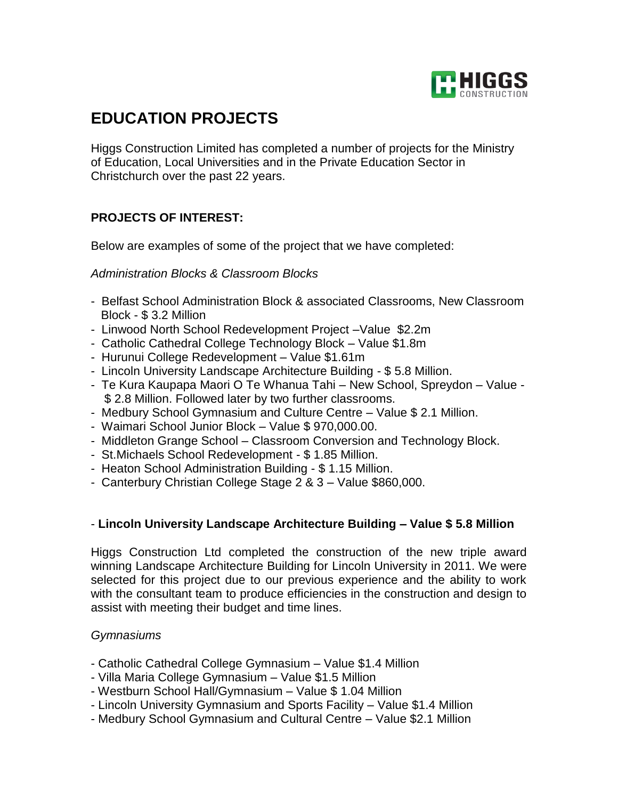

# **EDUCATION PROJECTS**

Higgs Construction Limited has completed a number of projects for the Ministry of Education, Local Universities and in the Private Education Sector in Christchurch over the past 22 years.

# **PROJECTS OF INTEREST:**

Below are examples of some of the project that we have completed:

#### *Administration Blocks & Classroom Blocks*

- Belfast School Administration Block & associated Classrooms, New Classroom Block - \$ 3.2 Million
- Linwood North School Redevelopment Project –Value \$2.2m
- Catholic Cathedral College Technology Block Value \$1.8m
- Hurunui College Redevelopment Value \$1.61m
- Lincoln University Landscape Architecture Building \$ 5.8 Million.
- Te Kura Kaupapa Maori O Te Whanua Tahi New School, Spreydon Value \$ 2.8 Million. Followed later by two further classrooms.
- Medbury School Gymnasium and Culture Centre Value \$ 2.1 Million.
- Waimari School Junior Block Value \$ 970,000.00.
- Middleton Grange School Classroom Conversion and Technology Block.
- St.Michaels School Redevelopment \$ 1.85 Million.
- Heaton School Administration Building \$ 1.15 Million.
- Canterbury Christian College Stage 2 & 3 Value \$860,000.

## - **Lincoln University Landscape Architecture Building – Value \$ 5.8 Million**

Higgs Construction Ltd completed the construction of the new triple award winning Landscape Architecture Building for Lincoln University in 2011. We were selected for this project due to our previous experience and the ability to work with the consultant team to produce efficiencies in the construction and design to assist with meeting their budget and time lines.

## *Gymnasiums*

- Catholic Cathedral College Gymnasium Value \$1.4 Million
- Villa Maria College Gymnasium Value \$1.5 Million
- Westburn School Hall/Gymnasium Value \$ 1.04 Million
- Lincoln University Gymnasium and Sports Facility Value \$1.4 Million
- Medbury School Gymnasium and Cultural Centre Value \$2.1 Million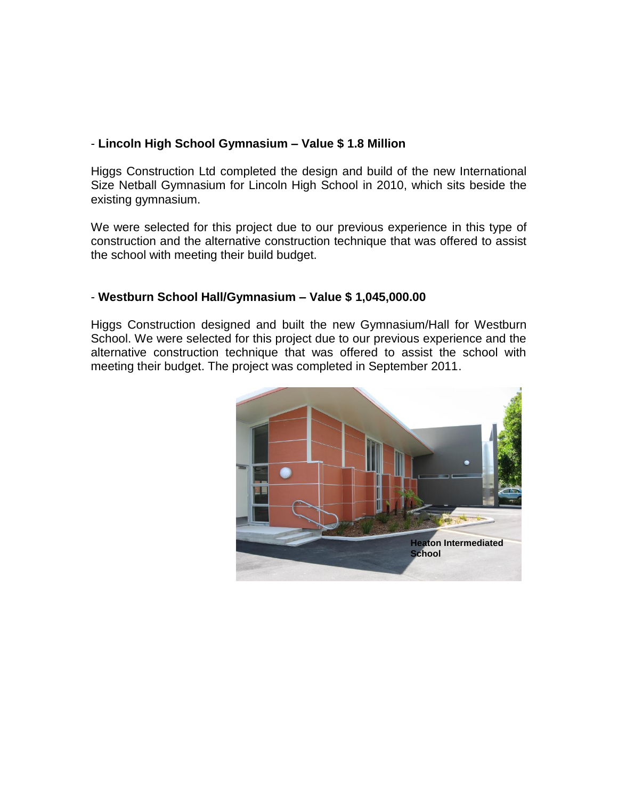# - **Lincoln High School Gymnasium – Value \$ 1.8 Million**

Higgs Construction Ltd completed the design and build of the new International Size Netball Gymnasium for Lincoln High School in 2010, which sits beside the existing gymnasium.

We were selected for this project due to our previous experience in this type of construction and the alternative construction technique that was offered to assist the school with meeting their build budget.

#### - **Westburn School Hall/Gymnasium – Value \$ 1,045,000.00**

Higgs Construction designed and built the new Gymnasium/Hall for Westburn School. We were selected for this project due to our previous experience and the alternative construction technique that was offered to assist the school with meeting their budget. The project was completed in September 2011.